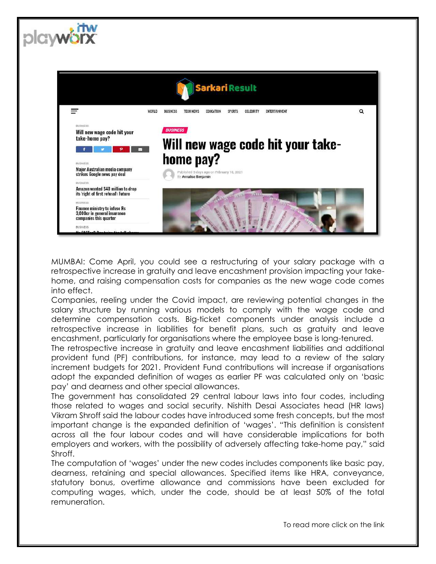

plawe

MUMBAI: Come April, you could see a restructuring of your salary package with a retrospective increase in gratuity and leave encashment provision impacting your takehome, and raising compensation costs for companies as the new wage code comes into effect.

Companies, reeling under the Covid impact, are reviewing potential changes in the salary structure by running various models to comply with the wage code and determine compensation costs. Big-ticket components under analysis include a retrospective increase in liabilities for benefit plans, such as gratuity and leave encashment, particularly for organisations where the employee base is long-tenured.

The retrospective increase in gratuity and leave encashment liabilities and additional provident fund (PF) contributions, for instance, may lead to a review of the salary increment budgets for 2021. Provident Fund contributions will increase if organisations adopt the expanded definition of wages as earlier PF was calculated only on 'basic pay' and dearness and other special allowances.

The government has consolidated 29 central labour laws into four codes, including those related to wages and social security. Nishith Desai Associates head (HR laws) Vikram Shroff said the labour codes have introduced some fresh concepts, but the most important change is the expanded definition of 'wages'. "This definition is consistent across all the four labour codes and will have considerable implications for both employers and workers, with the possibility of adversely affecting take-home pay," said Shroff.

The computation of 'wages' under the new codes includes components like basic pay, dearness, retaining and special allowances. Specified items like HRA, conveyance, statutory bonus, overtime allowance and commissions have been excluded for computing wages, which, under the code, should be at least 50% of the total remuneration.